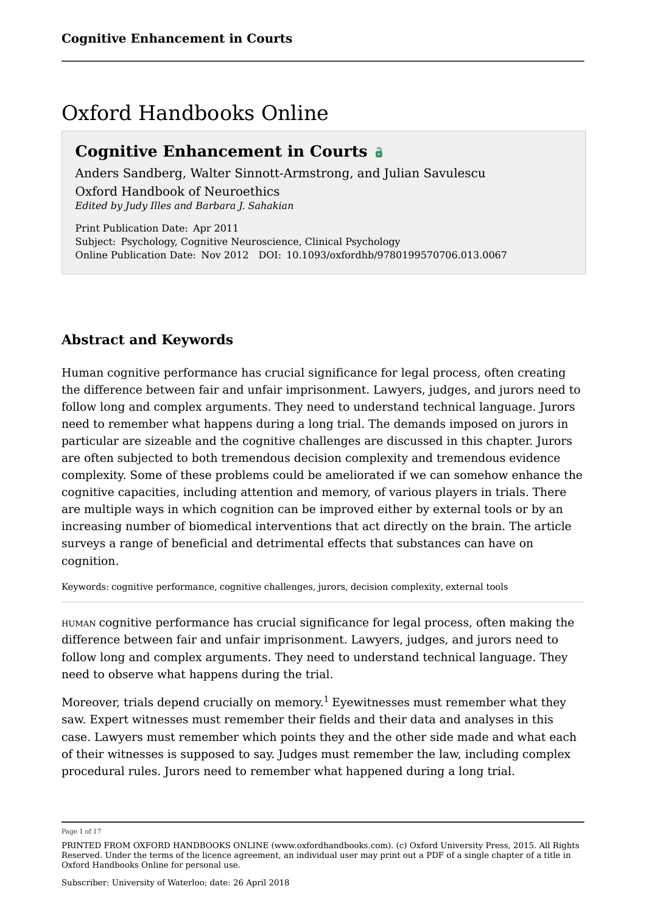### Oxford Handbooks Online

### **Cognitive Enhancement in Courts**

Anders Sandberg, Walter Sinnott-Armstrong, and Julian Savulescu Oxford Handbook of Neuroethics *Edited by Judy Illes and Barbara J. Sahakian*

Print Publication Date: Apr 2011 Subject: Psychology, Cognitive Neuroscience, Clinical Psychology Online Publication Date: Nov 2012 DOI: 10.1093/oxfordhb/9780199570706.013.0067

#### **Abstract and Keywords**

Human cognitive performance has crucial significance for legal process, often creating the difference between fair and unfair imprisonment. Lawyers, judges, and jurors need to follow long and complex arguments. They need to understand technical language. Jurors need to remember what happens during a long trial. The demands imposed on jurors in particular are sizeable and the cognitive challenges are discussed in this chapter. Jurors are often subjected to both tremendous decision complexity and tremendous evidence complexity. Some of these problems could be ameliorated if we can somehow enhance the cognitive capacities, including attention and memory, of various players in trials. There are multiple ways in which cognition can be improved either by external tools or by an increasing number of biomedical interventions that act directly on the brain. The article surveys a range of beneficial and detrimental effects that substances can have on cognition.

Keywords: cognitive performance, cognitive challenges, jurors, decision complexity, external tools

HUMAN cognitive performance has crucial significance for legal process, often making the difference between fair and unfair imprisonment. Lawyers, judges, and jurors need to follow long and complex arguments. They need to understand technical language. They need to observe what happens during the trial.

Moreover, trials depend crucially on memory. $^1$  Eyewitnesses must remember what they saw. Expert witnesses must remember their fields and their data and analyses in this case. Lawyers must remember which points they and the other side made and what each of their witnesses is supposed to say. Judges must remember the law, including complex procedural rules. Jurors need to remember what happened during a long trial.

Page 1 of 17

PRINTED FROM OXFORD HANDBOOKS ONLINE (www.oxfordhandbooks.com). (c) Oxford University Press, 2015. All Rights Reserved. Under the terms of the licence agreement, an individual user may print out a PDF of a single chapter of a title in Oxford Handbooks Online for personal use.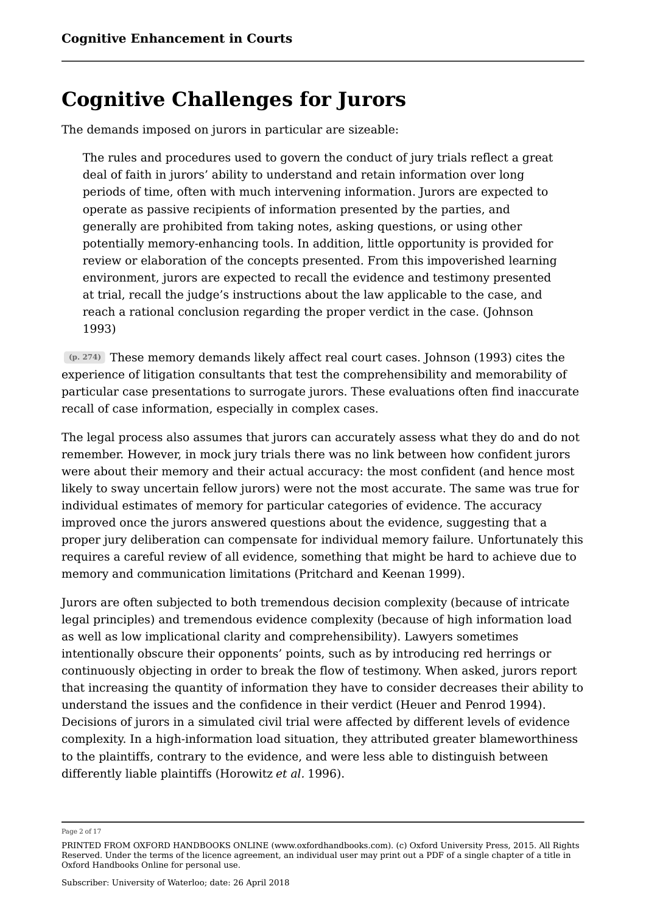### **Cognitive Challenges for Jurors**

The demands imposed on jurors in particular are sizeable:

The rules and procedures used to govern the conduct of jury trials reflect a great deal of faith in jurors' ability to understand and retain information over long periods of time, often with much intervening information. Jurors are expected to operate as passive recipients of information presented by the parties, and generally are prohibited from taking notes, asking questions, or using other potentially memory-enhancing tools. In addition, little opportunity is provided for review or elaboration of the concepts presented. From this impoverished learning environment, jurors are expected to recall the evidence and testimony presented at trial, recall the judge's instructions about the law applicable to the case, and reach a rational conclusion regarding the proper verdict in the case. (Johnson 1993)

These memory demands likely affect real court cases. Johnson (1993) cites the **(p. 274)** experience of litigation consultants that test the comprehensibility and memorability of particular case presentations to surrogate jurors. These evaluations often find inaccurate recall of case information, especially in complex cases.

The legal process also assumes that jurors can accurately assess what they do and do not remember. However, in mock jury trials there was no link between how confident jurors were about their memory and their actual accuracy: the most confident (and hence most likely to sway uncertain fellow jurors) were not the most accurate. The same was true for individual estimates of memory for particular categories of evidence. The accuracy improved once the jurors answered questions about the evidence, suggesting that a proper jury deliberation can compensate for individual memory failure. Unfortunately this requires a careful review of all evidence, something that might be hard to achieve due to memory and communication limitations (Pritchard and Keenan 1999).

Jurors are often subjected to both tremendous decision complexity (because of intricate legal principles) and tremendous evidence complexity (because of high information load as well as low implicational clarity and comprehensibility). Lawyers sometimes intentionally obscure their opponents' points, such as by introducing red herrings or continuously objecting in order to break the flow of testimony. When asked, jurors report that increasing the quantity of information they have to consider decreases their ability to understand the issues and the confidence in their verdict (Heuer and Penrod 1994). Decisions of jurors in a simulated civil trial were affected by different levels of evidence complexity. In a high-information load situation, they attributed greater blameworthiness to the plaintiffs, contrary to the evidence, and were less able to distinguish between differently liable plaintiffs (Horowitz *et al.* 1996).

Page 2 of 17

PRINTED FROM OXFORD HANDBOOKS ONLINE (www.oxfordhandbooks.com). (c) Oxford University Press, 2015. All Rights Reserved. Under the terms of the licence agreement, an individual user may print out a PDF of a single chapter of a title in Oxford Handbooks Online for personal use.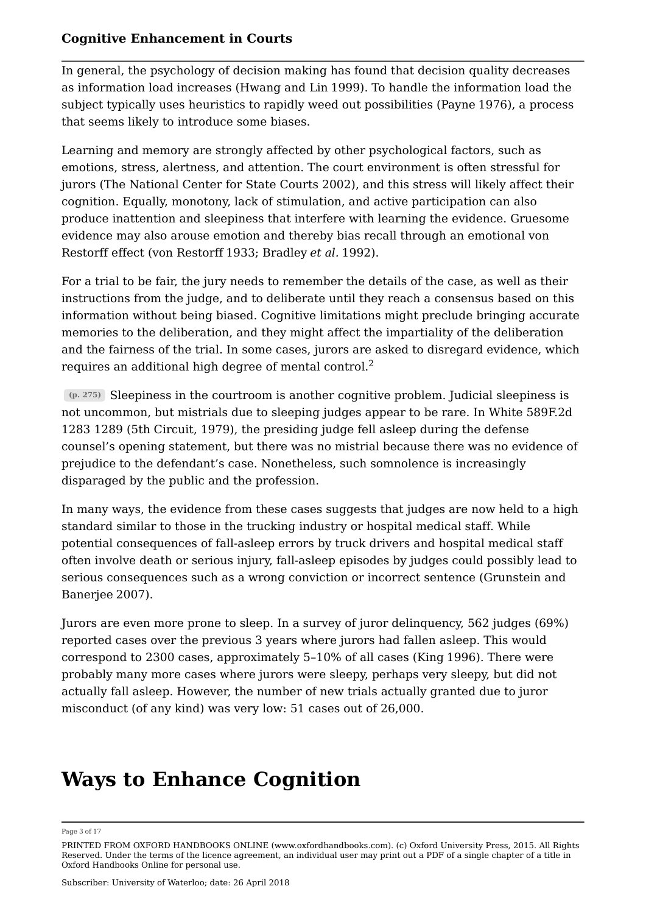In general, the psychology of decision making has found that decision quality decreases as information load increases (Hwang and Lin 1999). To handle the information load the subject typically uses heuristics to rapidly weed out possibilities (Payne 1976), a process that seems likely to introduce some biases.

Learning and memory are strongly affected by other psychological factors, such as emotions, stress, alertness, and attention. The court environment is often stressful for jurors (The National Center for State Courts 2002), and this stress will likely affect their cognition. Equally, monotony, lack of stimulation, and active participation can also produce inattention and sleepiness that interfere with learning the evidence. Gruesome evidence may also arouse emotion and thereby bias recall through an emotional von Restorff effect (von Restorff 1933; Bradley *et al.* 1992).

For a trial to be fair, the jury needs to remember the details of the case, as well as their instructions from the judge, and to deliberate until they reach a consensus based on this information without being biased. Cognitive limitations might preclude bringing accurate memories to the deliberation, and they might affect the impartiality of the deliberation and the fairness of the trial. In some cases, jurors are asked to disregard evidence, which requires an additional high degree of mental control. 2

Sleepiness in the courtroom is another cognitive problem. Judicial sleepiness is **(p. 275)** not uncommon, but mistrials due to sleeping judges appear to be rare. In White 589F.2d 1283 1289 (5th Circuit, 1979), the presiding judge fell asleep during the defense counsel's opening statement, but there was no mistrial because there was no evidence of prejudice to the defendant's case. Nonetheless, such somnolence is increasingly disparaged by the public and the profession.

In many ways, the evidence from these cases suggests that judges are now held to a high standard similar to those in the trucking industry or hospital medical staff. While potential consequences of fall-asleep errors by truck drivers and hospital medical staff often involve death or serious injury, fall-asleep episodes by judges could possibly lead to serious consequences such as a wrong conviction or incorrect sentence (Grunstein and Banerjee 2007).

Jurors are even more prone to sleep. In a survey of juror delinquency, 562 judges (69%) reported cases over the previous 3 years where jurors had fallen asleep. This would correspond to 2300 cases, approximately 5–10% of all cases (King 1996). There were probably many more cases where jurors were sleepy, perhaps very sleepy, but did not actually fall asleep. However, the number of new trials actually granted due to juror misconduct (of any kind) was very low: 51 cases out of 26,000.

## **Ways to Enhance Cognition**

#### Page 3 of 17

PRINTED FROM OXFORD HANDBOOKS ONLINE (www.oxfordhandbooks.com). (c) Oxford University Press, 2015. All Rights Reserved. Under the terms of the licence agreement, an individual user may print out a PDF of a single chapter of a title in Oxford Handbooks Online for personal use.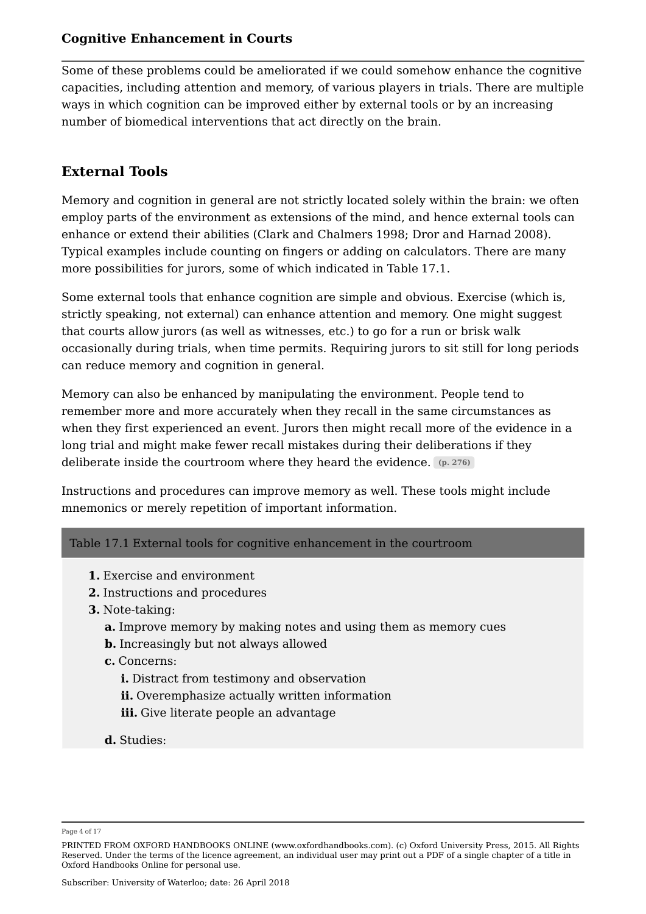Some of these problems could be ameliorated if we could somehow enhance the cognitive capacities, including attention and memory, of various players in trials. There are multiple ways in which cognition can be improved either by external tools or by an increasing number of biomedical interventions that act directly on the brain.

### **External Tools**

Memory and cognition in general are not strictly located solely within the brain: we often employ parts of the environment as extensions of the mind, and hence external tools can enhance or extend their abilities (Clark and Chalmers 1998; Dror and Harnad 2008). Typical examples include counting on fingers or adding on calculators. There are many more possibilities for jurors, some of which indicated in Table 17.1.

Some external tools that enhance cognition are simple and obvious. Exercise (which is, strictly speaking, not external) can enhance attention and memory. One might suggest that courts allow jurors (as well as witnesses, etc.) to go for a run or brisk walk occasionally during trials, when time permits. Requiring jurors to sit still for long periods can reduce memory and cognition in general.

Memory can also be enhanced by manipulating the environment. People tend to remember more and more accurately when they recall in the same circumstances as when they first experienced an event. Jurors then might recall more of the evidence in a long trial and might make fewer recall mistakes during their deliberations if they deliberate inside the courtroom where they heard the evidence. **(p. 276)**

Instructions and procedures can improve memory as well. These tools might include mnemonics or merely repetition of important information.

#### Table 17.1 External tools for cognitive enhancement in the courtroom

- **1.** Exercise and environment
- **2.** Instructions and procedures
- **3.** Note-taking:
	- **a.** Improve memory by making notes and using them as memory cues
	- **b.** Increasingly but not always allowed
	- **c.** Concerns:
		- **i.** Distract from testimony and observation
		- ii. Overemphasize actually written information
		- **iii.** Give literate people an advantage
	- **d.** Studies:

Page 4 of 17

PRINTED FROM OXFORD HANDBOOKS ONLINE (www.oxfordhandbooks.com). (c) Oxford University Press, 2015. All Rights Reserved. Under the terms of the licence agreement, an individual user may print out a PDF of a single chapter of a title in Oxford Handbooks Online for personal use.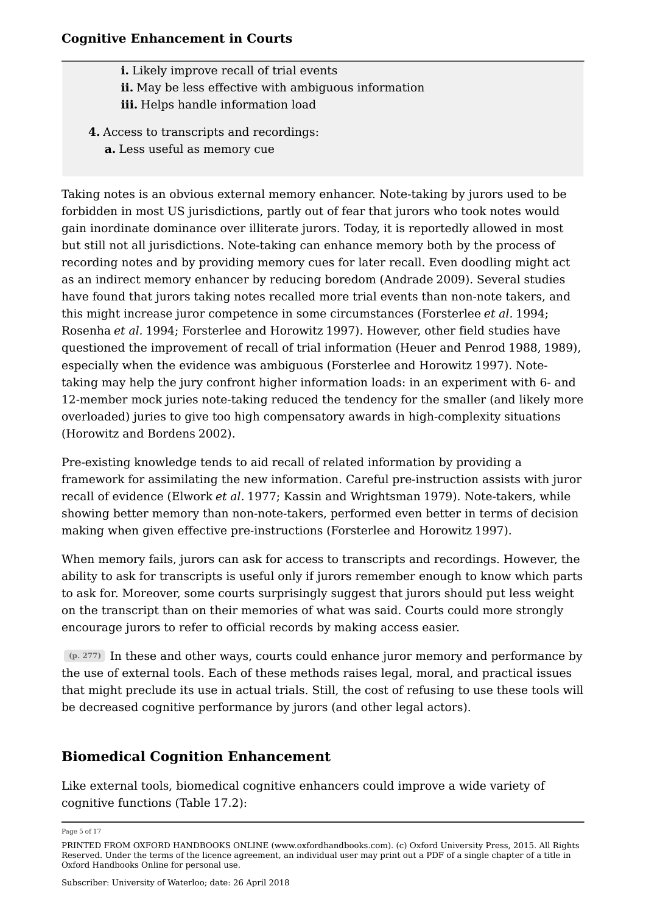- **i.** Likely improve recall of trial events **ii.** May be less effective with ambiguous information **iii.** Helps handle information load
- **4.** Access to transcripts and recordings: **a.** Less useful as memory cue

Taking notes is an obvious external memory enhancer. Note-taking by jurors used to be forbidden in most US jurisdictions, partly out of fear that jurors who took notes would gain inordinate dominance over illiterate jurors. Today, it is reportedly allowed in most but still not all jurisdictions. Note-taking can enhance memory both by the process of recording notes and by providing memory cues for later recall. Even doodling might act as an indirect memory enhancer by reducing boredom (Andrade 2009). Several studies have found that jurors taking notes recalled more trial events than non-note takers, and this might increase juror competence in some circumstances (Forsterlee *et al.* 1994; Rosenha *et al.* 1994; Forsterlee and Horowitz 1997). However, other field studies have questioned the improvement of recall of trial information (Heuer and Penrod 1988, 1989), especially when the evidence was ambiguous (Forsterlee and Horowitz 1997). Notetaking may help the jury confront higher information loads: in an experiment with 6- and 12-member mock juries note-taking reduced the tendency for the smaller (and likely more overloaded) juries to give too high compensatory awards in high-complexity situations (Horowitz and Bordens 2002).

Pre-existing knowledge tends to aid recall of related information by providing a framework for assimilating the new information. Careful pre-instruction assists with juror recall of evidence (Elwork *et al.* 1977; Kassin and Wrightsman 1979). Note-takers, while showing better memory than non-note-takers, performed even better in terms of decision making when given effective pre-instructions (Forsterlee and Horowitz 1997).

When memory fails, jurors can ask for access to transcripts and recordings. However, the ability to ask for transcripts is useful only if jurors remember enough to know which parts to ask for. Moreover, some courts surprisingly suggest that jurors should put less weight on the transcript than on their memories of what was said. Courts could more strongly encourage jurors to refer to official records by making access easier.

In these and other ways, courts could enhance juror memory and performance by **(p. 277)** the use of external tools. Each of these methods raises legal, moral, and practical issues that might preclude its use in actual trials. Still, the cost of refusing to use these tools will be decreased cognitive performance by jurors (and other legal actors).

#### **Biomedical Cognition Enhancement**

Like external tools, biomedical cognitive enhancers could improve a wide variety of cognitive functions (Table 17.2):

Page 5 of 17

PRINTED FROM OXFORD HANDBOOKS ONLINE (www.oxfordhandbooks.com). (c) Oxford University Press, 2015. All Rights Reserved. Under the terms of the licence agreement, an individual user may print out a PDF of a single chapter of a title in Oxford Handbooks Online for personal use.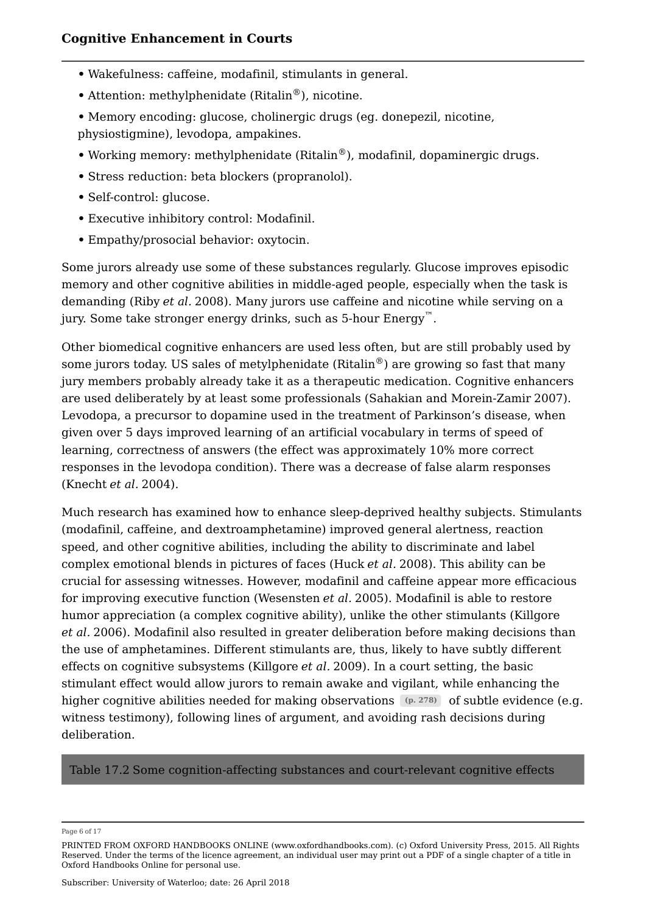- **•** Wakefulness: caffeine, modafinil, stimulants in general.
- Attention: methylphenidate (Ritalin<sup>®</sup>), nicotine.
- **•** Memory encoding: glucose, cholinergic drugs (eg. donepezil, nicotine, physiostigmine), levodopa, ampakines.
- Working memory: methylphenidate (Ritalin®), modafinil, dopaminergic drugs.
- **•** Stress reduction: beta blockers (propranolol).
- **•** Self-control: glucose.
- **•** Executive inhibitory control: Modafinil.
- **•** Empathy/prosocial behavior: oxytocin.

Some jurors already use some of these substances regularly. Glucose improves episodic memory and other cognitive abilities in middle-aged people, especially when the task is demanding (Riby *et al.* 2008). Many jurors use caffeine and nicotine while serving on a jury. Some take stronger energy drinks, such as 5-hour  $Energy^m$ . ™

Other biomedical cognitive enhancers are used less often, but are still probably used by some jurors today. US sales of metylphenidate (Ritalin®) are growing so fast that many jury members probably already take it as a therapeutic medication. Cognitive enhancers are used deliberately by at least some professionals (Sahakian and Morein-Zamir 2007). Levodopa, a precursor to dopamine used in the treatment of Parkinson's disease, when given over 5 days improved learning of an artificial vocabulary in terms of speed of learning, correctness of answers (the effect was approximately 10% more correct responses in the levodopa condition). There was a decrease of false alarm responses (Knecht *et al.*2004).

Much research has examined how to enhance sleep-deprived healthy subjects. Stimulants (modafinil, caffeine, and dextroamphetamine) improved general alertness, reaction speed, and other cognitive abilities, including the ability to discriminate and label complex emotional blends in pictures of faces (Huck *et al.* 2008). This ability can be crucial for assessing witnesses. However, modafinil and caffeine appear more efficacious for improving executive function (Wesensten *et al.* 2005). Modafinil is able to restore humor appreciation (a complex cognitive ability), unlike the other stimulants (Killgore *et al.* 2006). Modafinil also resulted in greater deliberation before making decisions than the use of amphetamines. Different stimulants are, thus, likely to have subtly different effects on cognitive subsystems (Killgore *et al.* 2009). In a court setting, the basic stimulant effect would allow jurors to remain awake and vigilant, while enhancing the higher cognitive abilities needed for making observations (p. 278) of subtle evidence (e.g. witness testimony), following lines of argument, and avoiding rash decisions during deliberation.

Table 17.2 Some cognition-affecting substances and court-relevant cognitive effects

Page 6 of 17

PRINTED FROM OXFORD HANDBOOKS ONLINE (www.oxfordhandbooks.com). (c) Oxford University Press, 2015. All Rights Reserved. Under the terms of the licence agreement, an individual user may print out a PDF of a single chapter of a title in Oxford Handbooks Online for personal use.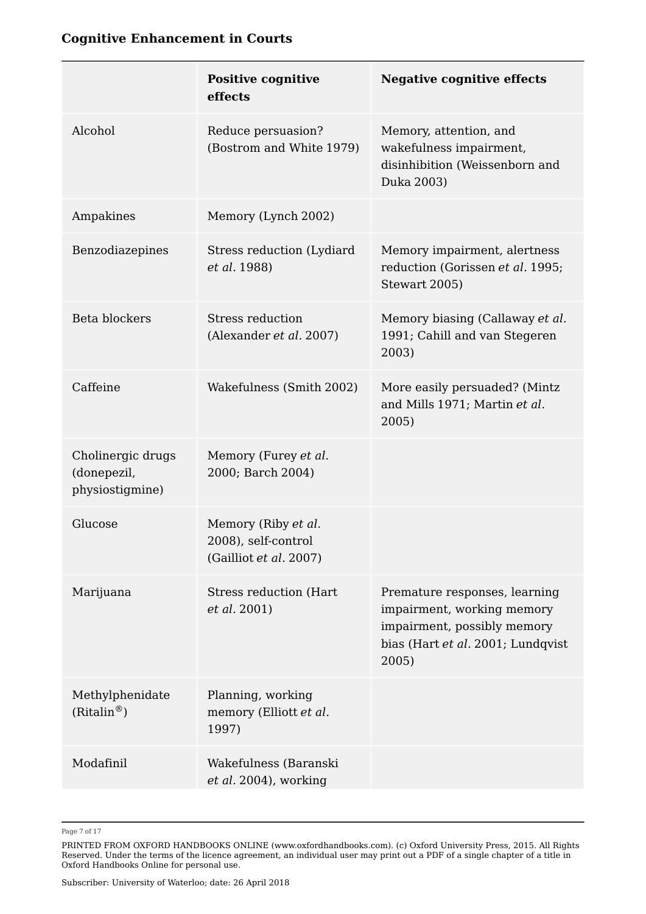|                                                     | <b>Positive cognitive</b><br>effects                                 | <b>Negative cognitive effects</b>                                                                                                        |
|-----------------------------------------------------|----------------------------------------------------------------------|------------------------------------------------------------------------------------------------------------------------------------------|
| Alcohol                                             | Reduce persuasion?<br>(Bostrom and White 1979)                       | Memory, attention, and<br>wakefulness impairment,<br>disinhibition (Weissenborn and<br>Duka 2003)                                        |
| Ampakines                                           | Memory (Lynch 2002)                                                  |                                                                                                                                          |
| Benzodiazepines                                     | Stress reduction (Lydiard<br><i>et al.</i> 1988)                     | Memory impairment, alertness<br>reduction (Gorissen et al. 1995;<br>Stewart 2005)                                                        |
| <b>Beta blockers</b>                                | Stress reduction<br>(Alexander et al. 2007)                          | Memory biasing (Callaway et al.<br>1991; Cahill and van Stegeren<br>2003)                                                                |
| Caffeine                                            | Wakefulness (Smith 2002)                                             | More easily persuaded? (Mintz<br>and Mills 1971; Martin et al.<br>2005)                                                                  |
| Cholinergic drugs<br>(donepezil,<br>physiostigmine) | Memory (Furey et al.<br>2000; Barch 2004)                            |                                                                                                                                          |
| Glucose                                             | Memory (Riby et al.<br>2008), self-control<br>(Gailliot et al. 2007) |                                                                                                                                          |
| Marijuana                                           | <b>Stress reduction (Hart</b><br>et al. 2001)                        | Premature responses, learning<br>impairment, working memory<br>impairment, possibly memory<br>bias (Hart et al. 2001; Lundqvist<br>2005) |
| Methylphenidate<br>$(Ritalin^{\circledR})$          | Planning, working<br>memory (Elliott et al.<br>1997)                 |                                                                                                                                          |
| Modafinil                                           | Wakefulness (Baranski<br>et al. 2004), working                       |                                                                                                                                          |

Page 7 of 17

PRINTED FROM OXFORD HANDBOOKS ONLINE (www.oxfordhandbooks.com). (c) Oxford University Press, 2015. All Rights Reserved. Under the terms of the licence agreement, an individual user may print out a PDF of a single chapter of a title in Oxford Handbooks Online for personal use.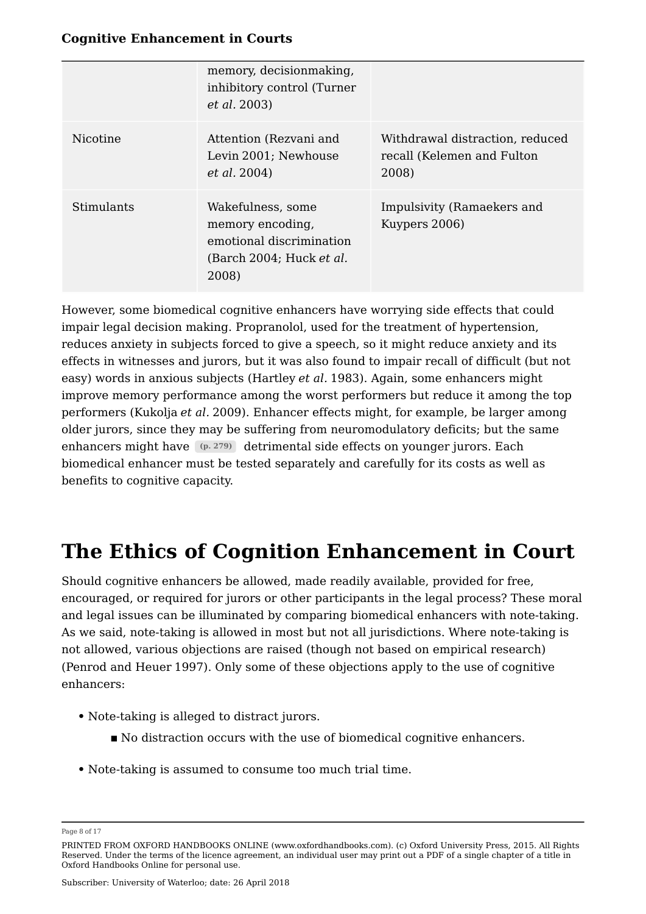|            | memory, decision making,<br>inhibitory control (Turner<br><i>et al.</i> 2003)                          |                                                                        |
|------------|--------------------------------------------------------------------------------------------------------|------------------------------------------------------------------------|
| Nicotine   | Attention (Rezvani and<br>Levin 2001; Newhouse<br><i>et al.</i> 2004)                                  | Withdrawal distraction, reduced<br>recall (Kelemen and Fulton<br>2008) |
| Stimulants | Wakefulness, some<br>memory encoding,<br>emotional discrimination<br>(Barch 2004; Huck et al.<br>2008) | Impulsivity (Ramaekers and<br>Kuypers 2006)                            |

However, some biomedical cognitive enhancers have worrying side effects that could impair legal decision making. Propranolol, used for the treatment of hypertension, reduces anxiety in subjects forced to give a speech, so it might reduce anxiety and its effects in witnesses and jurors, but it was also found to impair recall of difficult (but not easy) words in anxious subjects (Hartley *et al.* 1983). Again, some enhancers might improve memory performance among the worst performers but reduce it among the top performers (Kukolja *et al.* 2009). Enhancer effects might, for example, be larger among older jurors, since they may be suffering from neuromodulatory deficits; but the same enhancers might have  $(\mathbf{p}.~279)$  detrimental side effects on younger jurors. Each biomedical enhancer must be tested separately and carefully for its costs as well as benefits to cognitive capacity.

### **The Ethics of Cognition Enhancement in Court**

Should cognitive enhancers be allowed, made readily available, provided for free, encouraged, or required for jurors or other participants in the legal process? These moral and legal issues can be illuminated by comparing biomedical enhancers with note-taking. As we said, note-taking is allowed in most but not all jurisdictions. Where note-taking is not allowed, various objections are raised (though not based on empirical research) (Penrod and Heuer 1997). Only some of these objections apply to the use of cognitive enhancers:

- **•** Note-taking is alleged to distract jurors.
	- No distraction occurs with the use of biomedical cognitive enhancers.
- **•** Note-taking is assumed to consume too much trial time.

Page 8 of 17

PRINTED FROM OXFORD HANDBOOKS ONLINE (www.oxfordhandbooks.com). (c) Oxford University Press, 2015. All Rights Reserved. Under the terms of the licence agreement, an individual user may print out a PDF of a single chapter of a title in Oxford Handbooks Online for personal use.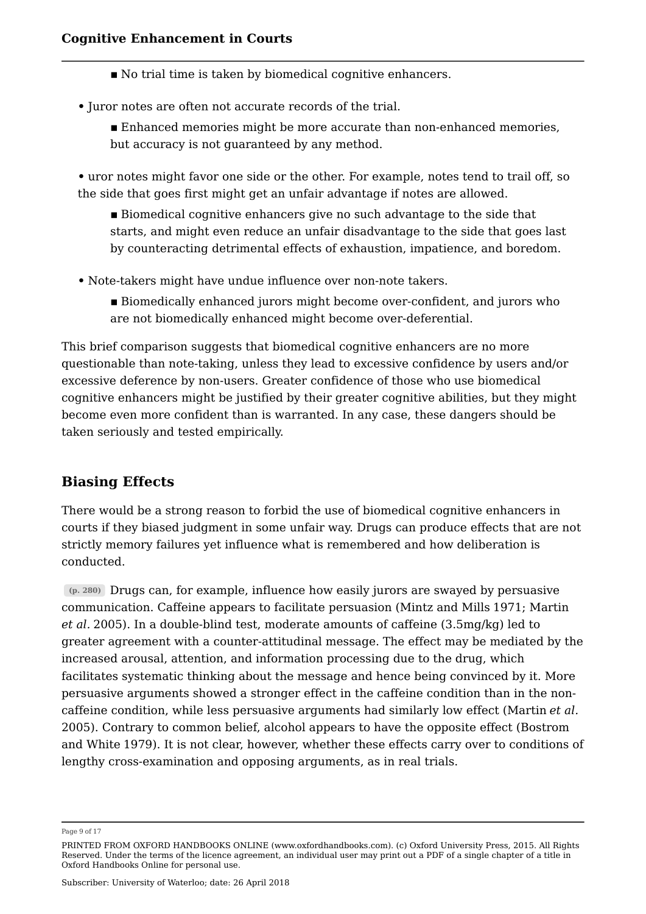- No trial time is taken by biomedical cognitive enhancers.
- **•** Juror notes are often not accurate records of the trial.
	- Enhanced memories might be more accurate than non-enhanced memories, but accuracy is not guaranteed by any method.

**•** uror notes might favor one side or the other. For example, notes tend to trail off, so the side that goes first might get an unfair advantage if notes are allowed.

**▪** Biomedical cognitive enhancers give no such advantage to the side that starts, and might even reduce an unfair disadvantage to the side that goes last by counteracting detrimental effects of exhaustion, impatience, and boredom.

- **•** Note-takers might have undue influence over non-note takers.
	- Biomedically enhanced jurors might become over-confident, and jurors who are not biomedically enhanced might become over-deferential.

This brief comparison suggests that biomedical cognitive enhancers are no more questionable than note-taking, unless they lead to excessive confidence by users and/or excessive deference by non-users. Greater confidence of those who use biomedical cognitive enhancers might be justified by their greater cognitive abilities, but they might become even more confident than is warranted. In any case, these dangers should be taken seriously and tested empirically.

#### **Biasing Effects**

There would be a strong reason to forbid the use of biomedical cognitive enhancers in courts if they biased judgment in some unfair way. Drugs can produce effects that are not strictly memory failures yet influence what is remembered and how deliberation is conducted.

Drugs can, for example, influence how easily jurors are swayed by persuasive **(p. 280)** communication. Caffeine appears to facilitate persuasion (Mintz and Mills 1971; Martin *et al.* 2005). In a double-blind test, moderate amounts of caffeine (3.5mg/kg) led to greater agreement with a counter-attitudinal message. The effect may be mediated by the increased arousal, attention, and information processing due to the drug, which facilitates systematic thinking about the message and hence being convinced by it. More persuasive arguments showed a stronger effect in the caffeine condition than in the noncaffeine condition, while less persuasive arguments had similarly low effect (Martin *et al.* 2005). Contrary to common belief, alcohol appears to have the opposite effect (Bostrom and White 1979). It is not clear, however, whether these effects carry over to conditions of lengthy cross-examination and opposing arguments, as in real trials.

Page 9 of 17

PRINTED FROM OXFORD HANDBOOKS ONLINE (www.oxfordhandbooks.com). (c) Oxford University Press, 2015. All Rights Reserved. Under the terms of the licence agreement, an individual user may print out a PDF of a single chapter of a title in Oxford Handbooks Online for personal use.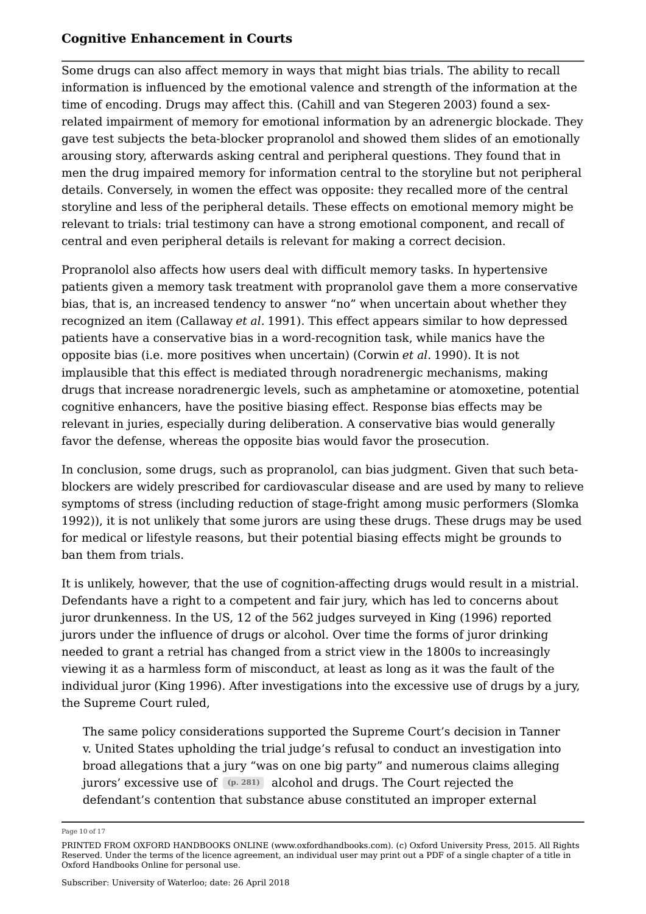Some drugs can also affect memory in ways that might bias trials. The ability to recall information is influenced by the emotional valence and strength of the information at the time of encoding. Drugs may affect this. (Cahill and van Stegeren 2003) found a sexrelated impairment of memory for emotional information by an adrenergic blockade. They gave test subjects the beta-blocker propranolol and showed them slides of an emotionally arousing story, afterwards asking central and peripheral questions. They found that in men the drug impaired memory for information central to the storyline but not peripheral details. Conversely, in women the effect was opposite: they recalled more of the central storyline and less of the peripheral details. These effects on emotional memory might be relevant to trials: trial testimony can have a strong emotional component, and recall of central and even peripheral details is relevant for making a correct decision.

Propranolol also affects how users deal with difficult memory tasks. In hypertensive patients given a memory task treatment with propranolol gave them a more conservative bias, that is, an increased tendency to answer "no" when uncertain about whether they recognized an item (Callaway *et al.* 1991). This effect appears similar to how depressed patients have a conservative bias in a word-recognition task, while manics have the opposite bias (i.e. more positives when uncertain) (Corwin *et al.* 1990). It is not implausible that this effect is mediated through noradrenergic mechanisms, making drugs that increase noradrenergic levels, such as amphetamine or atomoxetine, potential cognitive enhancers, have the positive biasing effect. Response bias effects may be relevant in juries, especially during deliberation. A conservative bias would generally favor the defense, whereas the opposite bias would favor the prosecution.

In conclusion, some drugs, such as propranolol, can bias judgment. Given that such betablockers are widely prescribed for cardiovascular disease and are used by many to relieve symptoms of stress (including reduction of stage-fright among music performers (Slomka 1992)), it is not unlikely that some jurors are using these drugs. These drugs may be used for medical or lifestyle reasons, but their potential biasing effects might be grounds to ban them from trials.

It is unlikely, however, that the use of cognition-affecting drugs would result in a mistrial. Defendants have a right to a competent and fair jury, which has led to concerns about juror drunkenness. In the US, 12 of the 562 judges surveyed in King (1996) reported jurors under the influence of drugs or alcohol. Over time the forms of juror drinking needed to grant a retrial has changed from a strict view in the 1800s to increasingly viewing it as a harmless form of misconduct, at least as long as it was the fault of the individual juror (King 1996). After investigations into the excessive use of drugs by a jury, the Supreme Court ruled,

The same policy considerations supported the Supreme Court's decision in Tanner v. United States upholding the trial judge's refusal to conduct an investigation into broad allegations that a jury "was on one big party" and numerous claims alleging jurors' excessive use of  $(p. 281)$  alcohol and drugs. The Court rejected the defendant's contention that substance abuse constituted an improper external

Page 10 of 17

PRINTED FROM OXFORD HANDBOOKS ONLINE (www.oxfordhandbooks.com). (c) Oxford University Press, 2015. All Rights Reserved. Under the terms of the licence agreement, an individual user may print out a PDF of a single chapter of a title in Oxford Handbooks Online for personal use.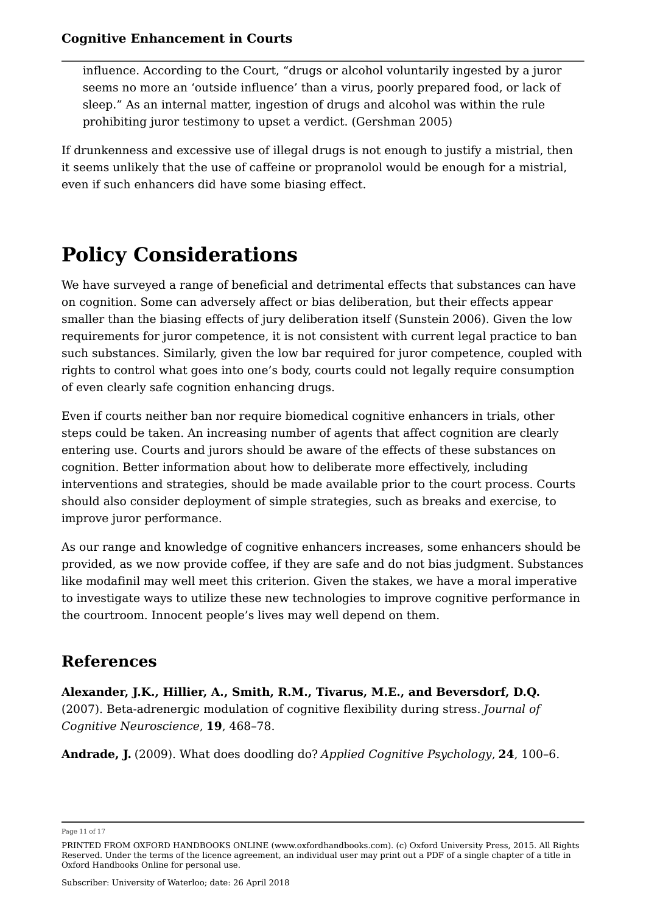influence. According to the Court, "drugs or alcohol voluntarily ingested by a juror seems no more an 'outside influence' than a virus, poorly prepared food, or lack of sleep." As an internal matter, ingestion of drugs and alcohol was within the rule prohibiting juror testimony to upset a verdict. (Gershman 2005)

If drunkenness and excessive use of illegal drugs is not enough to justify a mistrial, then it seems unlikely that the use of caffeine or propranolol would be enough for a mistrial, even if such enhancers did have some biasing effect.

# **Policy Considerations**

We have surveyed a range of beneficial and detrimental effects that substances can have on cognition. Some can adversely affect or bias deliberation, but their effects appear smaller than the biasing effects of jury deliberation itself (Sunstein 2006). Given the low requirements for juror competence, it is not consistent with current legal practice to ban such substances. Similarly, given the low bar required for juror competence, coupled with rights to control what goes into one's body, courts could not legally require consumption of even clearly safe cognition enhancing drugs.

Even if courts neither ban nor require biomedical cognitive enhancers in trials, other steps could be taken. An increasing number of agents that affect cognition are clearly entering use. Courts and jurors should be aware of the effects of these substances on cognition. Better information about how to deliberate more effectively, including interventions and strategies, should be made available prior to the court process. Courts should also consider deployment of simple strategies, such as breaks and exercise, to improve juror performance.

As our range and knowledge of cognitive enhancers increases, some enhancers should be provided, as we now provide coffee, if they are safe and do not bias judgment. Substances like modafinil may well meet this criterion. Given the stakes, we have a moral imperative to investigate ways to utilize these new technologies to improve cognitive performance in the courtroom. Innocent people's lives may well depend on them.

### **References**

**Alexander, J.K., Hillier, A., Smith, R.M., Tivarus, M.E., and Beversdorf, D.Q.** (2007). Beta-adrenergic modulation of cognitive flexibility during stress. *Journal of Cognitive Neuroscience*, **19**, 468–78.

**Andrade, J.** (2009). What does doodling do? *Applied Cognitive Psychology*, **24**, 100–6.

Page 11 of 17

PRINTED FROM OXFORD HANDBOOKS ONLINE (www.oxfordhandbooks.com). (c) Oxford University Press, 2015. All Rights Reserved. Under the terms of the licence agreement, an individual user may print out a PDF of a single chapter of a title in Oxford Handbooks Online for personal use.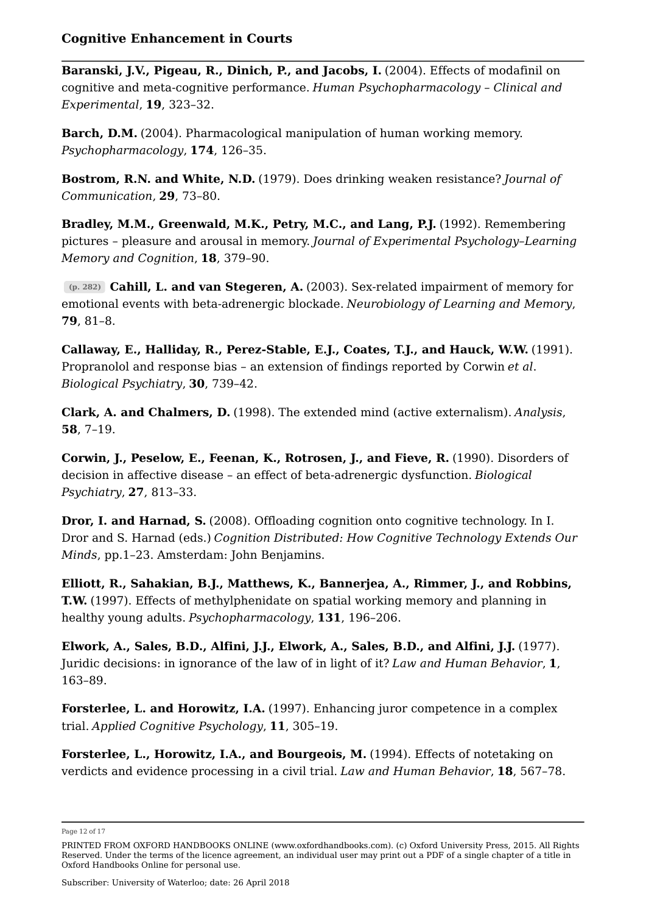**Baranski, J.V., Pigeau, R., Dinich, P., and Jacobs, I.** (2004). Effects of modafinil on cognitive and meta-cognitive performance. *Human Psychopharmacology – Clinical and Experimental*, **19**, 323–32.

**Barch, D.M.** (2004). Pharmacological manipulation of human working memory. *Psychopharmacology*, **174**, 126–35.

**Bostrom, R.N. and White, N.D.** (1979). Does drinking weaken resistance? *Journal of Communication*, **29**, 73–80.

**Bradley, M.M., Greenwald, M.K., Petry, M.C., and Lang, P.J.** (1992). Remembering pictures – pleasure and arousal in memory. *Journal of Experimental Psychology–Learning Memory and Cognition*, **18**, 379–90.

**Cahill, L. and van Stegeren, A.** (2003). Sex-related impairment of memory for **(p. 282)** emotional events with beta-adrenergic blockade. *Neurobiology of Learning and Memory*, **79**, 81–8.

**Callaway, E., Halliday, R., Perez-Stable, E.J., Coates, T.J., and Hauck, W.W.** (1991). Propranolol and response bias – an extension of findings reported by Corwin *et al*. *Biological Psychiatry*, **30**, 739–42.

**Clark, A. and Chalmers, D.** (1998). The extended mind (active externalism). *Analysis*, **58**, 7–19.

**Corwin, J., Peselow, E., Feenan, K., Rotrosen, J., and Fieve, R.** (1990). Disorders of decision in affective disease – an effect of beta-adrenergic dysfunction. *Biological Psychiatry*, **27**, 813–33.

**Dror, I. and Harnad, S.** (2008). Offloading cognition onto cognitive technology. In I. Dror and S. Harnad (eds.) *Cognition Distributed: How Cognitive Technology Extends Our Minds*, pp.1–23. Amsterdam: John Benjamins.

**Elliott, R., Sahakian, B.J., Matthews, K., Bannerjea, A., Rimmer, J., and Robbins, T.W.** (1997). Effects of methylphenidate on spatial working memory and planning in healthy young adults. *Psychopharmacology*, **131**, 196–206.

**Elwork, A., Sales, B.D., Alfini, J.J., Elwork, A., Sales, B.D., and Alfini, J.J.** (1977). Juridic decisions: in ignorance of the law of in light of it? *Law and Human Behavior*, **1**, 163–89.

**Forsterlee, L. and Horowitz, I.A.** (1997). Enhancing juror competence in a complex trial. *Applied Cognitive Psychology*, **11**, 305–19.

**Forsterlee, L., Horowitz, I.A., and Bourgeois, M.** (1994). Effects of notetaking on verdicts and evidence processing in a civil trial. *Law and Human Behavior*, **18**, 567–78.

Page 12 of 17

PRINTED FROM OXFORD HANDBOOKS ONLINE (www.oxfordhandbooks.com). (c) Oxford University Press, 2015. All Rights Reserved. Under the terms of the licence agreement, an individual user may print out a PDF of a single chapter of a title in Oxford Handbooks Online for personal use.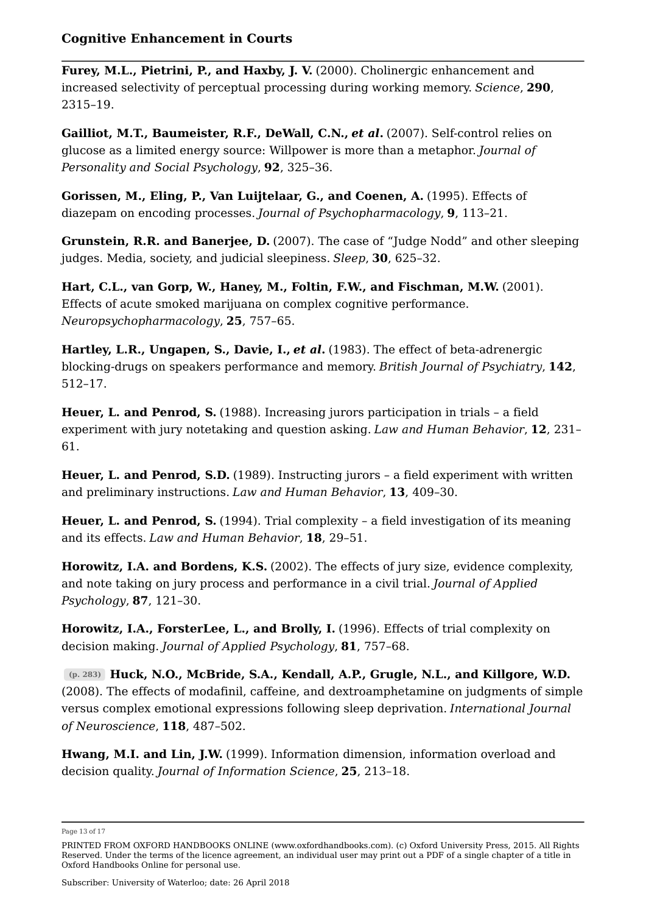**Furey, M.L., Pietrini, P., and Haxby, J. V.** (2000). Cholinergic enhancement and increased selectivity of perceptual processing during working memory. *Science*, **290**, 2315–19.

**Gailliot, M.T., Baumeister, R.F., DeWall, C.N.,** *et al***.** (2007). Self-control relies on glucose as a limited energy source: Willpower is more than a metaphor. *Journal of Personality and Social Psychology*, **92**, 325–36.

**Gorissen, M., Eling, P., Van Luijtelaar, G., and Coenen, A.** (1995). Effects of diazepam on encoding processes. *Journal of Psychopharmacology*, **9**, 113–21.

**Grunstein, R.R. and Banerjee, D.** (2007). The case of "Judge Nodd" and other sleeping judges. Media, society, and judicial sleepiness. *Sleep*, **30**, 625–32.

**Hart, C.L., van Gorp, W., Haney, M., Foltin, F.W., and Fischman, M.W.** (2001). Effects of acute smoked marijuana on complex cognitive performance. *Neuropsychopharmacology*, **25**, 757–65.

**Hartley, L.R., Ungapen, S., Davie, I.,** *et al***.** (1983). The effect of beta-adrenergic blocking-drugs on speakers performance and memory. *British Journal of Psychiatry*, **142**, 512–17.

**Heuer, L. and Penrod, S.** (1988). Increasing jurors participation in trials – a field experiment with jury notetaking and question asking. *Law and Human Behavior*, **12**, 231– 61.

**Heuer, L. and Penrod, S.D.** (1989). Instructing jurors – a field experiment with written and preliminary instructions. *Law and Human Behavior*, **13**, 409–30.

**Heuer, L. and Penrod, S.** (1994). Trial complexity - a field investigation of its meaning and its effects. *Law and Human Behavior*, **18**, 29–51.

**Horowitz, I.A. and Bordens, K.S.** (2002). The effects of jury size, evidence complexity, and note taking on jury process and performance in a civil trial. *Journal of Applied Psychology*, **87**, 121–30.

**Horowitz, I.A., ForsterLee, L., and Brolly, I.** (1996). Effects of trial complexity on decision making. *Journal of Applied Psychology*, **81**, 757–68.

**Huck, N.O., McBride, S.A., Kendall, A.P., Grugle, N.L., and Killgore, W.D. (p. 283)** (2008). The effects of modafinil, caffeine, and dextroamphetamine on judgments of simple versus complex emotional expressions following sleep deprivation. *International Journal of Neuroscience*, **118**, 487–502.

**Hwang, M.I. and Lin, J.W.** (1999). Information dimension, information overload and decision quality. *Journal of Information Science*, **25**, 213–18.

Page 13 of 17

PRINTED FROM OXFORD HANDBOOKS ONLINE (www.oxfordhandbooks.com). (c) Oxford University Press, 2015. All Rights Reserved. Under the terms of the licence agreement, an individual user may print out a PDF of a single chapter of a title in Oxford Handbooks Online for personal use.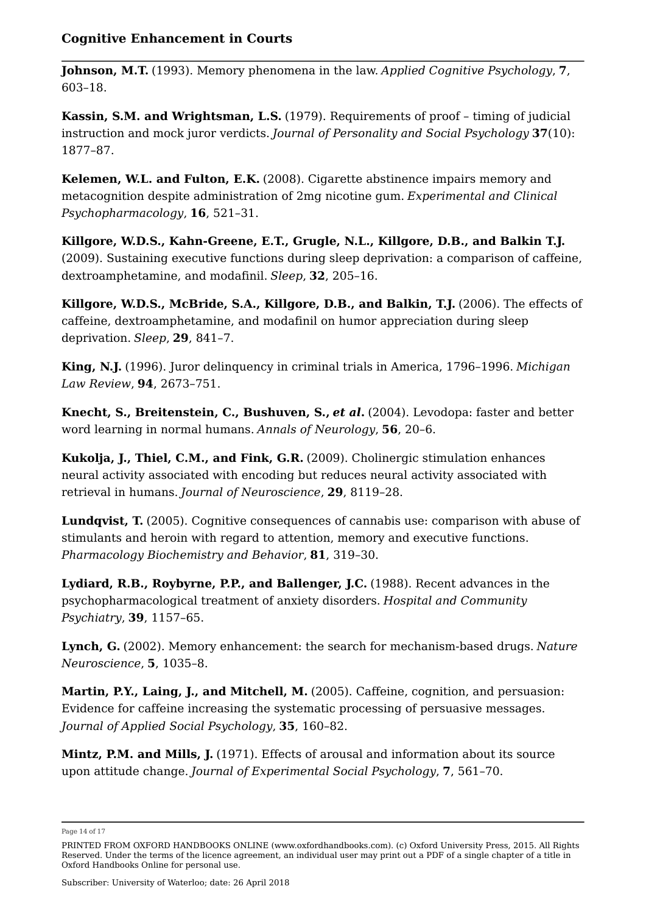**Johnson, M.T.** (1993). Memory phenomena in the law. *Applied Cognitive Psychology*, **7**, 603–18.

**Kassin, S.M. and Wrightsman, L.S.** (1979). Requirements of proof – timing of judicial instruction and mock juror verdicts. *Journal of Personality and Social Psychology* **37**(10): 1877–87.

**Kelemen, W.L. and Fulton, E.K.** (2008). Cigarette abstinence impairs memory and metacognition despite administration of 2mg nicotine gum. *Experimental and Clinical Psychopharmacology*, **16**, 521–31.

**Killgore, W.D.S., Kahn-Greene, E.T., Grugle, N.L., Killgore, D.B., and Balkin T.J.** (2009). Sustaining executive functions during sleep deprivation: a comparison of caffeine, dextroamphetamine, and modafinil. *Sleep*, **32**, 205–16.

**Killgore, W.D.S., McBride, S.A., Killgore, D.B., and Balkin, T.J.** (2006). The effects of caffeine, dextroamphetamine, and modafinil on humor appreciation during sleep deprivation. *Sleep*, **29**, 841–7.

**King, N.J.** (1996). Juror delinquency in criminal trials in America, 1796–1996. *Michigan Law Review*, **94**, 2673–751.

**Knecht, S., Breitenstein, C., Bushuven, S.,** *et al***.** (2004). Levodopa: faster and better word learning in normal humans. *Annals of Neurology*, **56**, 20–6.

**Kukolja, J., Thiel, C.M., and Fink, G.R.** (2009). Cholinergic stimulation enhances neural activity associated with encoding but reduces neural activity associated with retrieval in humans. *Journal of Neuroscience*, **29**, 8119–28.

**Lundqvist, T.** (2005). Cognitive consequences of cannabis use: comparison with abuse of stimulants and heroin with regard to attention, memory and executive functions. *Pharmacology Biochemistry and Behavior*, **81**, 319–30.

**Lydiard, R.B., Roybyrne, P.P., and Ballenger, J.C.** (1988). Recent advances in the psychopharmacological treatment of anxiety disorders. *Hospital and Community Psychiatry*, **39**, 1157–65.

**Lynch, G.** (2002). Memory enhancement: the search for mechanism-based drugs. *Nature Neuroscience*, **5**, 1035–8.

**Martin, P.Y., Laing, J., and Mitchell, M.** (2005). Caffeine, cognition, and persuasion: Evidence for caffeine increasing the systematic processing of persuasive messages. *Journal of Applied Social Psychology*, **35**, 160–82.

**Mintz, P.M. and Mills, J.** (1971). Effects of arousal and information about its source upon attitude change. *Journal of Experimental Social Psychology*, **7**, 561–70.

Page 14 of 17

PRINTED FROM OXFORD HANDBOOKS ONLINE (www.oxfordhandbooks.com). (c) Oxford University Press, 2015. All Rights Reserved. Under the terms of the licence agreement, an individual user may print out a PDF of a single chapter of a title in Oxford Handbooks Online for personal use.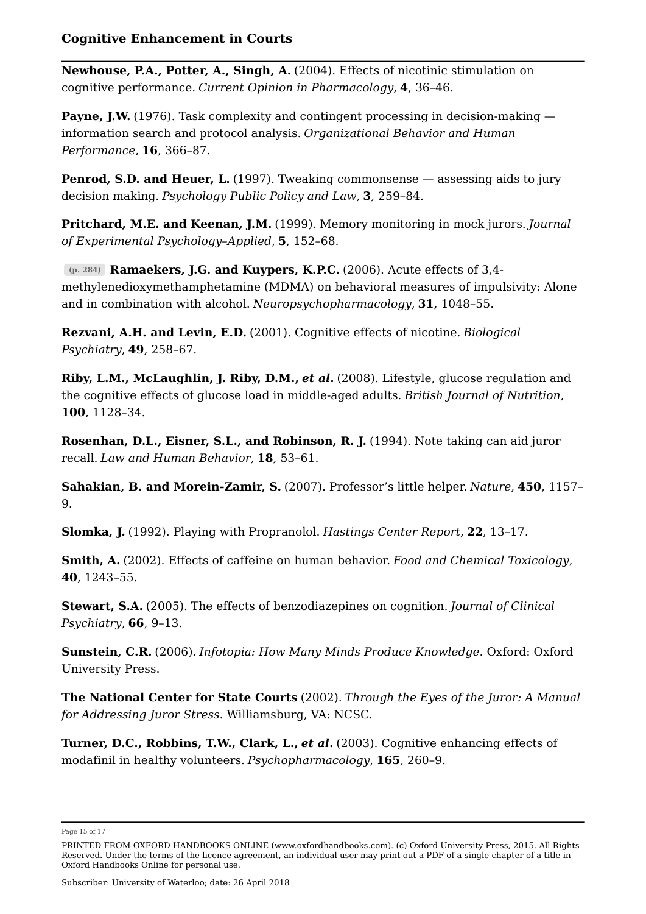**Newhouse, P.A., Potter, A., Singh, A.** (2004). Effects of nicotinic stimulation on cognitive performance. *Current Opinion in Pharmacology*, **4**, 36–46.

**Payne, J.W.** (1976). Task complexity and contingent processing in decision-making  $$ information search and protocol analysis. *Organizational Behavior and Human Performance*, **16**, 366–87.

**Penrod, S.D. and Heuer, L.** (1997). Tweaking commonsense — assessing aids to jury decision making. *Psychology Public Policy and Law*, **3**, 259–84.

**Pritchard, M.E. and Keenan, J.M.** (1999). Memory monitoring in mock jurors. *Journal of Experimental Psychology–Applied*, **5**, 152–68.

**Ramaekers, J.G. and Kuypers, K.P.C.** (2006). Acute effects of 3,4- **(p. 284)** methylenedioxymethamphetamine (MDMA) on behavioral measures of impulsivity: Alone and in combination with alcohol. *Neuropsychopharmacology*, **31**, 1048–55.

**Rezvani, A.H. and Levin, E.D.** (2001). Cognitive effects of nicotine. *Biological Psychiatry*, **49**, 258–67.

**Riby, L.M., McLaughlin, J. Riby, D.M.,** *et al***.** (2008). Lifestyle, glucose regulation and the cognitive effects of glucose load in middle-aged adults. *British Journal of Nutrition*, **100**, 1128–34.

**Rosenhan, D.L., Eisner, S.L., and Robinson, R. J.** (1994). Note taking can aid juror recall. *Law and Human Behavior*, **18**, 53–61.

**Sahakian, B. and Morein-Zamir, S.** (2007). Professor's little helper. *Nature*, **450**, 1157– 9.

**Slomka, J.** (1992). Playing with Propranolol. *Hastings Center Report*, **22**, 13–17.

**Smith, A.** (2002). Effects of caffeine on human behavior. *Food and Chemical Toxicology*, **40**, 1243–55.

**Stewart, S.A.** (2005). The effects of benzodiazepines on cognition. *Journal of Clinical Psychiatry*, **66**, 9–13.

**Sunstein, C.R.** (2006). *Infotopia: How Many Minds Produce Knowledge*. Oxford: Oxford University Press.

**The National Center for State Courts** (2002). *Through the Eyes of the Juror: A Manual for Addressing Juror Stress*. Williamsburg, VA: NCSC.

**Turner, D.C., Robbins, T.W., Clark, L.,** *et al***.** (2003). Cognitive enhancing effects of modafinil in healthy volunteers. *Psychopharmacology*, **165**, 260–9.

Page 15 of 17

PRINTED FROM OXFORD HANDBOOKS ONLINE (www.oxfordhandbooks.com). (c) Oxford University Press, 2015. All Rights Reserved. Under the terms of the licence agreement, an individual user may print out a PDF of a single chapter of a title in Oxford Handbooks Online for personal use.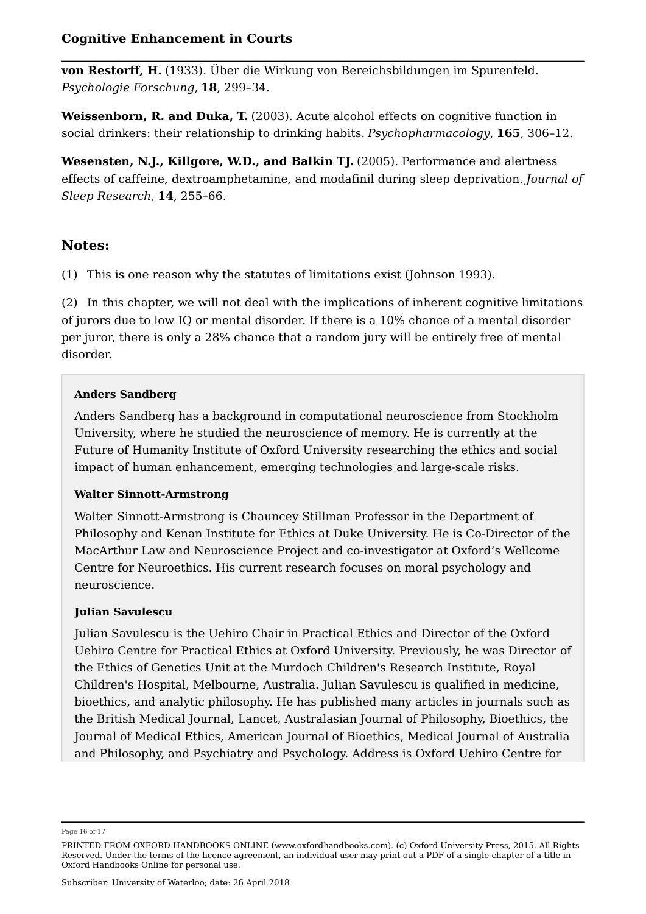**von Restorff, H.** (1933). Über die Wirkung von Bereichsbildungen im Spurenfeld. *Psychologie Forschung*, **18**, 299–34.

**Weissenborn, R. and Duka, T.** (2003). Acute alcohol effects on cognitive function in social drinkers: their relationship to drinking habits. *Psychopharmacology*, **165**, 306–12.

**Wesensten, N.J., Killgore, W.D., and Balkin TJ.** (2005). Performance and alertness effects of caffeine, dextroamphetamine, and modafinil during sleep deprivation. *Journal of Sleep Research*, **14**, 255–66.

#### **Notes:**

(1) This is one reason why the statutes of limitations exist (Johnson 1993).

(2) In this chapter, we will not deal with the implications of inherent cognitive limitations of jurors due to low IQ or mental disorder. If there is a 10% chance of a mental disorder per juror, there is only a 28% chance that a random jury will be entirely free of mental disorder.

#### **Anders Sandberg**

Anders Sandberg has a background in computational neuroscience from Stockholm University, where he studied the neuroscience of memory. He is currently at the Future of Humanity Institute of Oxford University researching the ethics and social impact of human enhancement, emerging technologies and large-scale risks.

#### **Walter Sinnott-Armstrong**

Walter  Sinnott-Armstrong is Chauncey Stillman Professor in the Department of Philosophy and Kenan Institute for Ethics at Duke University. He is Co-Director of the MacArthur Law and Neuroscience Project and co-investigator at Oxford's Wellcome Centre for Neuroethics. His current research focuses on moral psychology and neuroscience.

#### **Julian Savulescu**

Julian Savulescu is the Uehiro Chair in Practical Ethics and Director of the Oxford Uehiro Centre for Practical Ethics at Oxford University. Previously, he was Director of the Ethics of Genetics Unit at the Murdoch Children's Research Institute, Royal Children's Hospital, Melbourne, Australia. Julian Savulescu is qualified in medicine, bioethics, and analytic philosophy. He has published many articles in journals such as the British Medical Journal, Lancet, Australasian Journal of Philosophy, Bioethics, the Journal of Medical Ethics, American Journal of Bioethics, Medical Journal of Australia and Philosophy, and Psychiatry and Psychology. Address is Oxford Uehiro Centre for

Page 16 of 17

PRINTED FROM OXFORD HANDBOOKS ONLINE (www.oxfordhandbooks.com). (c) Oxford University Press, 2015. All Rights Reserved. Under the terms of the licence agreement, an individual user may print out a PDF of a single chapter of a title in Oxford Handbooks Online for personal use.